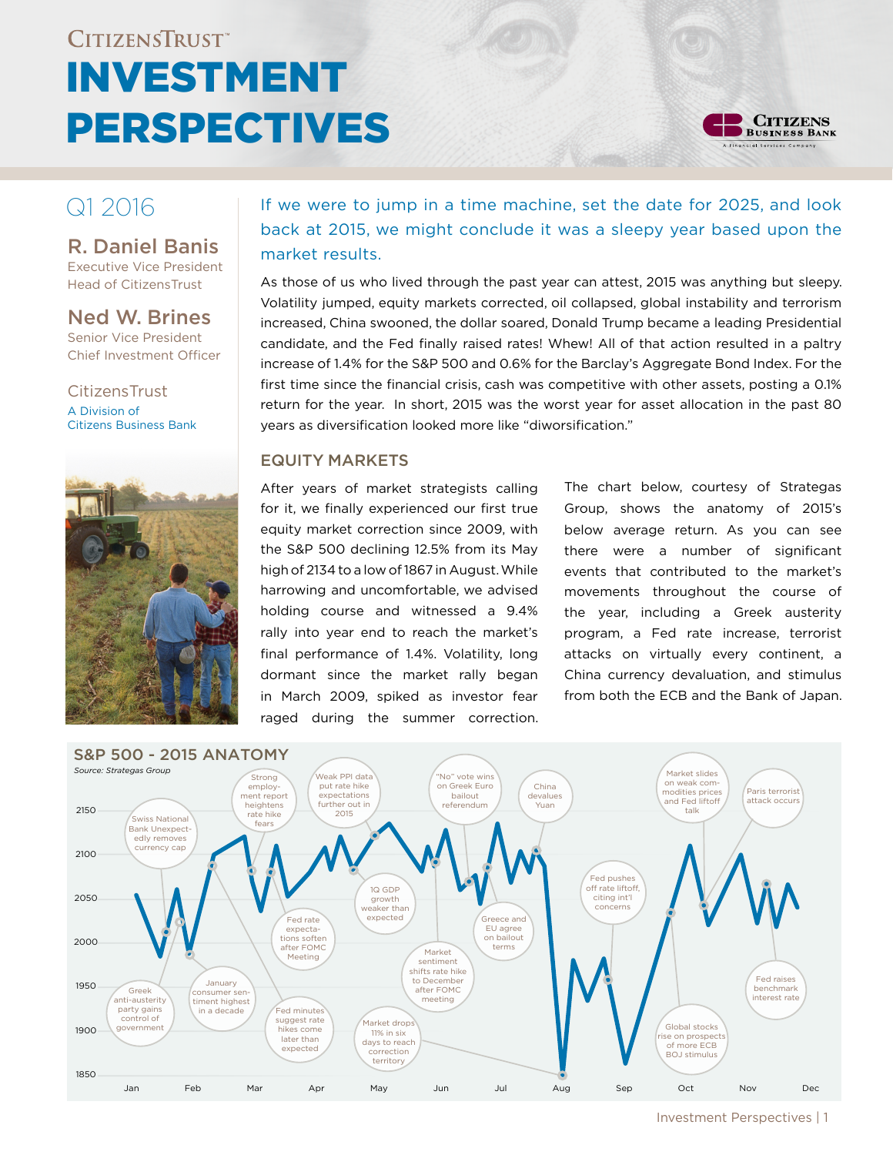# CITIZENSTRUST® Investment **PERSPECTIVES**



# R. Daniel Banis

Executive Vice President Head of CitizensTrust

Ned W. Brines Senior Vice President Chief Investment Officer

**CitizensTrust** A Division of Citizens Business Bank



# $Q1 2016$  If we were to jump in a time machine, set the date for 2025, and look back at 2015, we might conclude it was a sleepy year based upon the market results.

As those of us who lived through the past year can attest, 2015 was anything but sleepy. Volatility jumped, equity markets corrected, oil collapsed, global instability and terrorism increased, China swooned, the dollar soared, Donald Trump became a leading Presidential candidate, and the Fed finally raised rates! Whew! All of that action resulted in a paltry increase of 1.4% for the S&P 500 and 0.6% for the Barclay's Aggregate Bond Index. For the first time since the financial crisis, cash was competitive with other assets, posting a 0.1% return for the year. In short, 2015 was the worst year for asset allocation in the past 80 years as diversification looked more like "diworsification."

# Equity Markets

After years of market strategists calling for it, we finally experienced our first true equity market correction since 2009, with the S&P 500 declining 12.5% from its May high of 2134 to a low of 1867 in August. While harrowing and uncomfortable, we advised holding course and witnessed a 9.4% rally into year end to reach the market's final performance of 1.4%. Volatility, long dormant since the market rally began in March 2009, spiked as investor fear raged during the summer correction. The chart below, courtesy of Strategas Group, shows the anatomy of 2015's below average return. As you can see there were a number of significant events that contributed to the market's movements throughout the course of the year, including a Greek austerity program, a Fed rate increase, terrorist attacks on virtually every continent, a China currency devaluation, and stimulus from both the ECB and the Bank of Japan.



Investment Perspectives | 1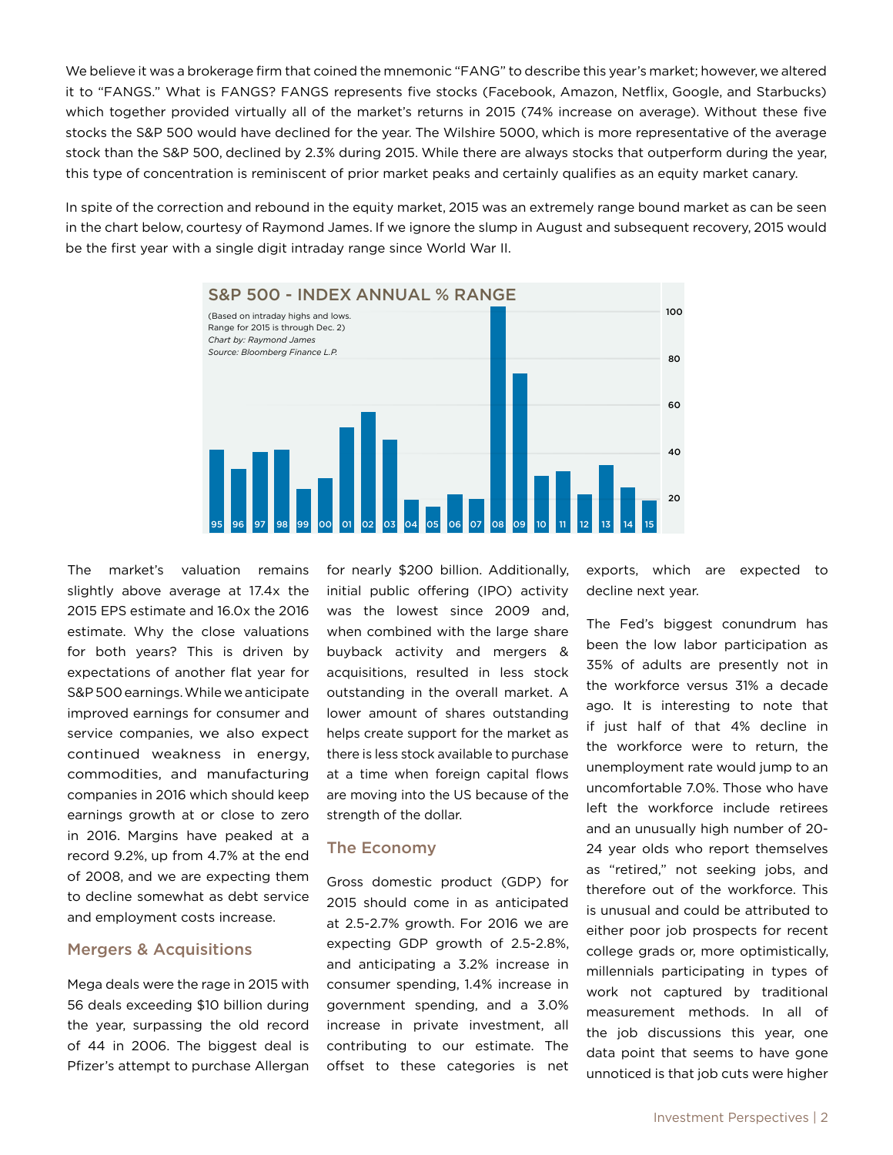We believe it was a brokerage firm that coined the mnemonic "FANG" to describe this year's market; however, we altered it to "FANGS." What is FANGS? FANGS represents five stocks (Facebook, Amazon, Netflix, Google, and Starbucks) which together provided virtually all of the market's returns in 2015 (74% increase on average). Without these five stocks the S&P 500 would have declined for the year. The Wilshire 5000, which is more representative of the average stock than the S&P 500, declined by 2.3% during 2015. While there are always stocks that outperform during the year, this type of concentration is reminiscent of prior market peaks and certainly qualifies as an equity market canary.

In spite of the correction and rebound in the equity market, 2015 was an extremely range bound market as can be seen in the chart below, courtesy of Raymond James. If we ignore the slump in August and subsequent recovery, 2015 would be the first year with a single digit intraday range since World War II.



The market's valuation remains slightly above average at 17.4x the 2015 EPS estimate and 16.0x the 2016 estimate. Why the close valuations for both years? This is driven by expectations of another flat year for S&P 500 earnings. While we anticipate improved earnings for consumer and service companies, we also expect continued weakness in energy, commodities, and manufacturing companies in 2016 which should keep earnings growth at or close to zero in 2016. Margins have peaked at a record 9.2%, up from 4.7% at the end of 2008, and we are expecting them to decline somewhat as debt service and employment costs increase.

#### Mergers & Acquisitions

Mega deals were the rage in 2015 with 56 deals exceeding \$10 billion during the year, surpassing the old record of 44 in 2006. The biggest deal is Pfizer's attempt to purchase Allergan

for nearly \$200 billion. Additionally, initial public offering (IPO) activity was the lowest since 2009 and, when combined with the large share buyback activity and mergers & acquisitions, resulted in less stock outstanding in the overall market. A lower amount of shares outstanding helps create support for the market as there is less stock available to purchase at a time when foreign capital flows are moving into the US because of the strength of the dollar.

### The Economy

Gross domestic product (GDP) for 2015 should come in as anticipated at 2.5-2.7% growth. For 2016 we are expecting GDP growth of 2.5-2.8%, and anticipating a 3.2% increase in consumer spending, 1.4% increase in government spending, and a 3.0% increase in private investment, all contributing to our estimate. The offset to these categories is net exports, which are expected to decline next year.

The Fed's biggest conundrum has been the low labor participation as 35% of adults are presently not in the workforce versus 31% a decade ago. It is interesting to note that if just half of that 4% decline in the workforce were to return, the unemployment rate would jump to an uncomfortable 7.0%. Those who have left the workforce include retirees and an unusually high number of 20- 24 year olds who report themselves as "retired," not seeking jobs, and therefore out of the workforce. This is unusual and could be attributed to either poor job prospects for recent college grads or, more optimistically, millennials participating in types of work not captured by traditional measurement methods. In all of the job discussions this year, one data point that seems to have gone unnoticed is that job cuts were higher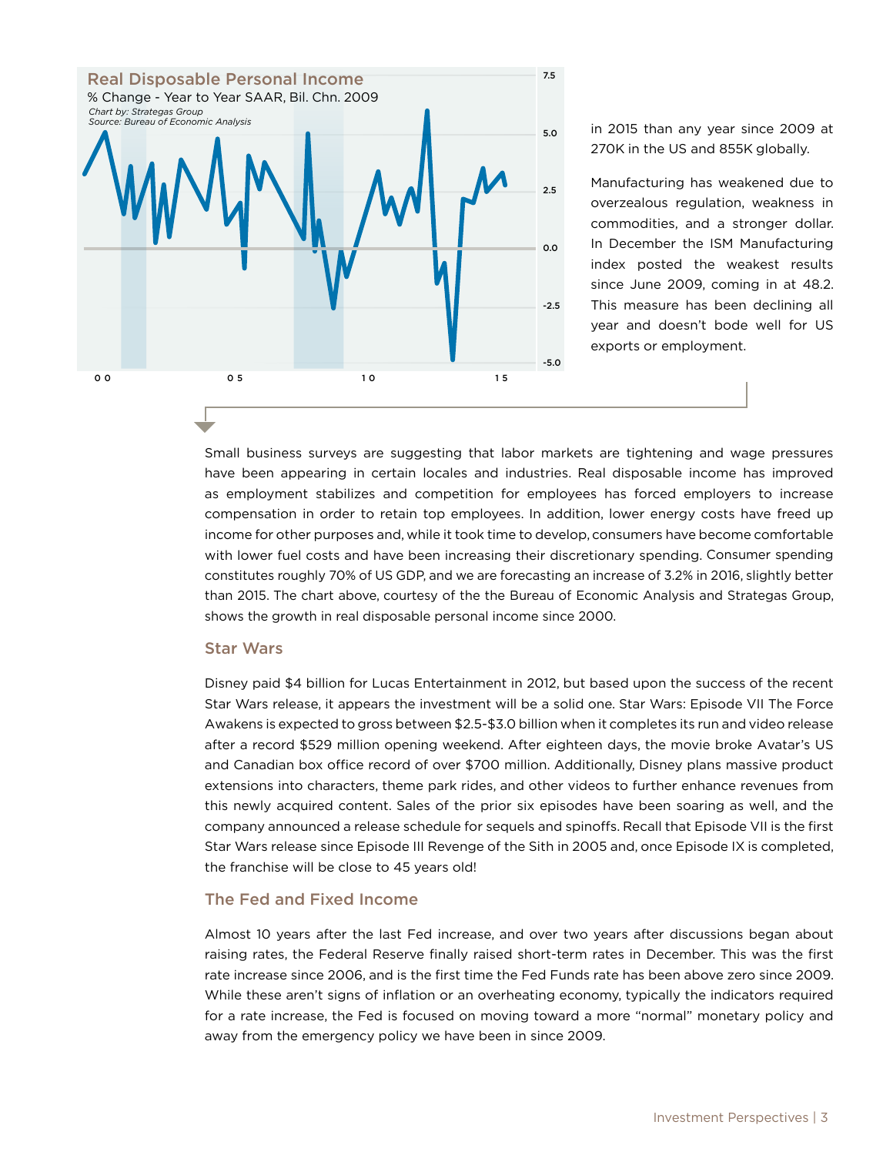

in 2015 than any year since 2009 at 270K in the US and 855K globally.

Manufacturing has weakened due to overzealous regulation, weakness in commodities, and a stronger dollar. In December the ISM Manufacturing index posted the weakest results since June 2009, coming in at 48.2. This measure has been declining all year and doesn't bode well for US exports or employment.

Small business surveys are suggesting that labor markets are tightening and wage pressures have been appearing in certain locales and industries. Real disposable income has improved as employment stabilizes and competition for employees has forced employers to increase compensation in order to retain top employees. In addition, lower energy costs have freed up income for other purposes and, while it took time to develop, consumers have become comfortable with lower fuel costs and have been increasing their discretionary spending. Consumer spending constitutes roughly 70% of US GDP, and we are forecasting an increase of 3.2% in 2016, slightly better than 2015. The chart above, courtesy of the the Bureau of Economic Analysis and Strategas Group, shows the growth in real disposable personal income since 2000.

#### Star Wars

Disney paid \$4 billion for Lucas Entertainment in 2012, but based upon the success of the recent Star Wars release, it appears the investment will be a solid one. Star Wars: Episode VII The Force Awakens is expected to gross between \$2.5-\$3.0 billion when it completes its run and video release after a record \$529 million opening weekend. After eighteen days, the movie broke Avatar's US and Canadian box office record of over \$700 million. Additionally, Disney plans massive product extensions into characters, theme park rides, and other videos to further enhance revenues from this newly acquired content. Sales of the prior six episodes have been soaring as well, and the company announced a release schedule for sequels and spinoffs. Recall that Episode VII is the first Star Wars release since Episode III Revenge of the Sith in 2005 and, once Episode IX is completed, the franchise will be close to 45 years old!

#### The Fed and Fixed Income

Almost 10 years after the last Fed increase, and over two years after discussions began about raising rates, the Federal Reserve finally raised short-term rates in December. This was the first rate increase since 2006, and is the first time the Fed Funds rate has been above zero since 2009. While these aren't signs of inflation or an overheating economy, typically the indicators required for a rate increase, the Fed is focused on moving toward a more "normal" monetary policy and away from the emergency policy we have been in since 2009.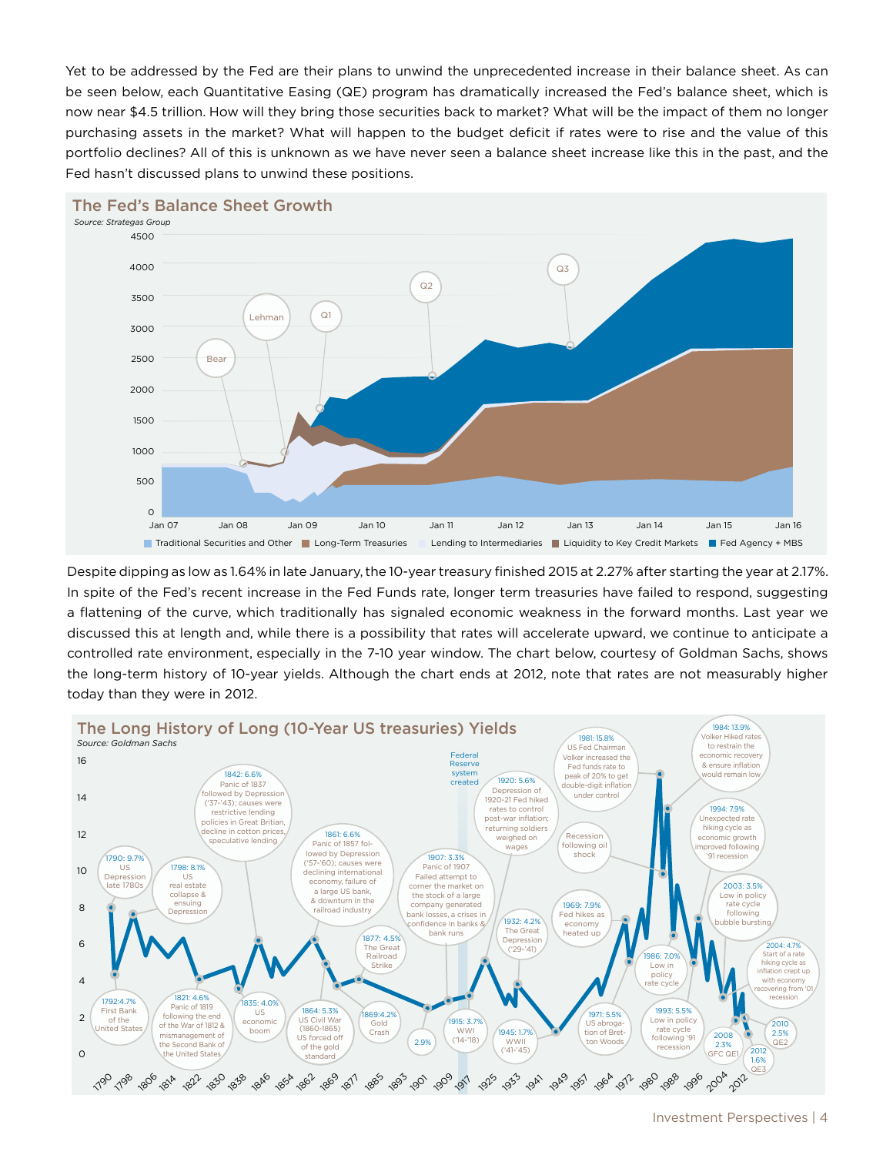Yet to be addressed by the Fed are their plans to unwind the unprecedented increase in their balance sheet. As can be seen below, each Quantitative Easing (QE) program has dramatically increased the Fed's balance sheet, which is now near \$4.5 trillion. How will they bring those securities back to market? What will be the impact of them no longer purchasing assets in the market? What will happen to the budget deficit if rates were to rise and the value of this portfolio declines? All of this is unknown as we have never seen a balance sheet increase like this in the past, and the Fed hasn't discussed plans to unwind these positions.



#### The Fed's Balance Sheet Growth

Despite dipping as low as 1.64% in late January, the 10-year treasury finished 2015 at 2.27% after starting the year at 2.17%. In spite of the Fed's recent increase in the Fed Funds rate, longer term treasuries have failed to respond, suggesting a flattening of the curve, which traditionally has signaled economic weakness in the forward months. Last year we discussed this at length and, while there is a possibility that rates will accelerate upward, we continue to anticipate a controlled rate environment, especially in the 7-10 year window. The chart below, courtesy of Goldman Sachs, shows the long-term history of 10-year yields. Although the chart ends at 2012, note that rates are not measurably higher today than they were in 2012.

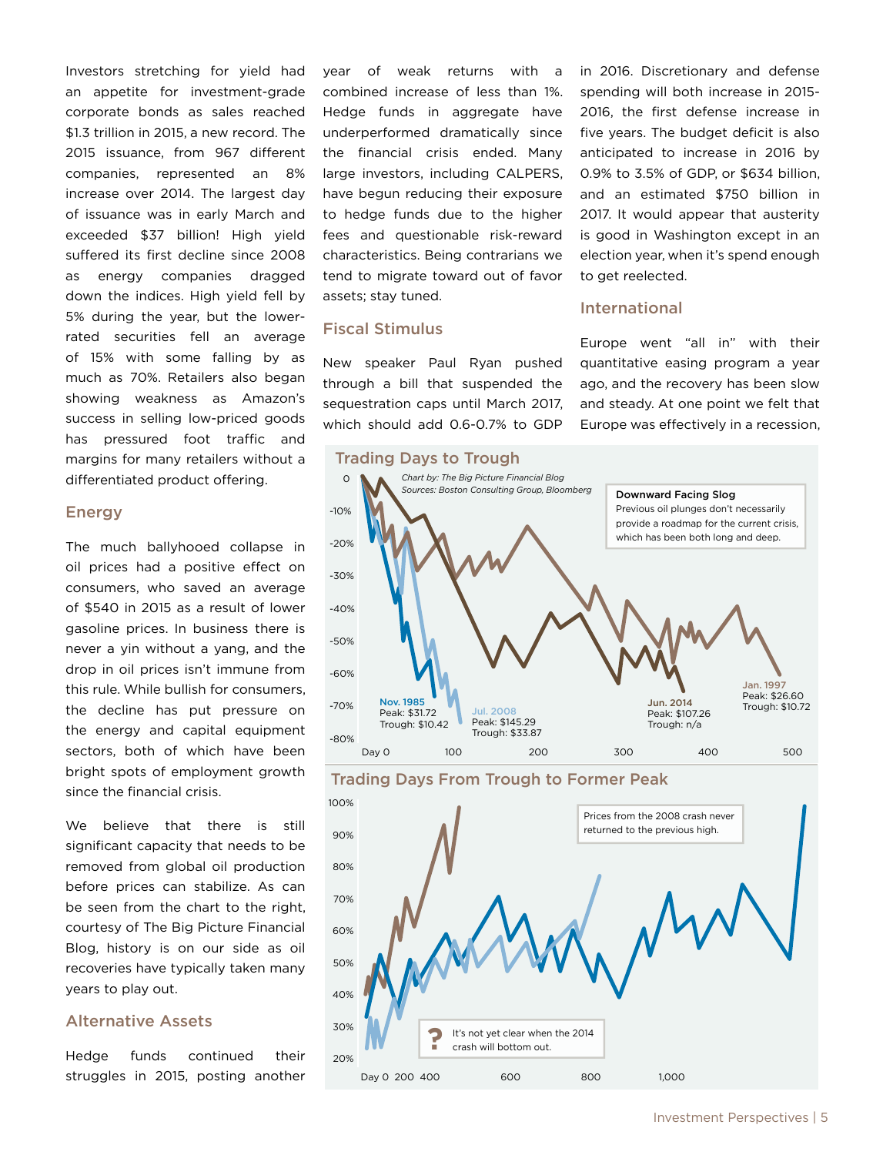Investors stretching for yield had an appetite for investment-grade corporate bonds as sales reached \$1.3 trillion in 2015, a new record. The 2015 issuance, from 967 different companies, represented an 8% increase over 2014. The largest day of issuance was in early March and exceeded \$37 billion! High yield suffered its first decline since 2008 as energy companies dragged down the indices. High yield fell by 5% during the year, but the lowerrated securities fell an average of 15% with some falling by as much as 70%. Retailers also began showing weakness as Amazon's success in selling low-priced goods has pressured foot traffic and margins for many retailers without a differentiated product offering.

#### Energy

The much ballyhooed collapse in oil prices had a positive effect on consumers, who saved an average of \$540 in 2015 as a result of lower gasoline prices. In business there is never a yin without a yang, and the drop in oil prices isn't immune from this rule. While bullish for consumers, the decline has put pressure on the energy and capital equipment sectors, both of which have been bright spots of employment growth since the financial crisis.

We believe that there is still significant capacity that needs to be removed from global oil production before prices can stabilize. As can be seen from the chart to the right, courtesy of The Big Picture Financial Blog, history is on our side as oil recoveries have typically taken many years to play out.

# Alternative Assets

Hedge funds continued their struggles in 2015, posting another year of weak returns with a combined increase of less than 1%. Hedge funds in aggregate have underperformed dramatically since the financial crisis ended. Many large investors, including CALPERS, have begun reducing their exposure to hedge funds due to the higher fees and questionable risk-reward characteristics. Being contrarians we tend to migrate toward out of favor assets; stay tuned.

#### Fiscal Stimulus

New speaker Paul Ryan pushed through a bill that suspended the sequestration caps until March 2017, which should add 0.6-0.7% to GDP in 2016. Discretionary and defense spending will both increase in 2015- 2016, the first defense increase in five years. The budget deficit is also anticipated to increase in 2016 by 0.9% to 3.5% of GDP, or \$634 billion, and an estimated \$750 billion in 2017. It would appear that austerity is good in Washington except in an election year, when it's spend enough to get reelected.

#### International

Europe went "all in" with their quantitative easing program a year ago, and the recovery has been slow and steady. At one point we felt that Europe was effectively in a recession,

#### Trading Days to Trough